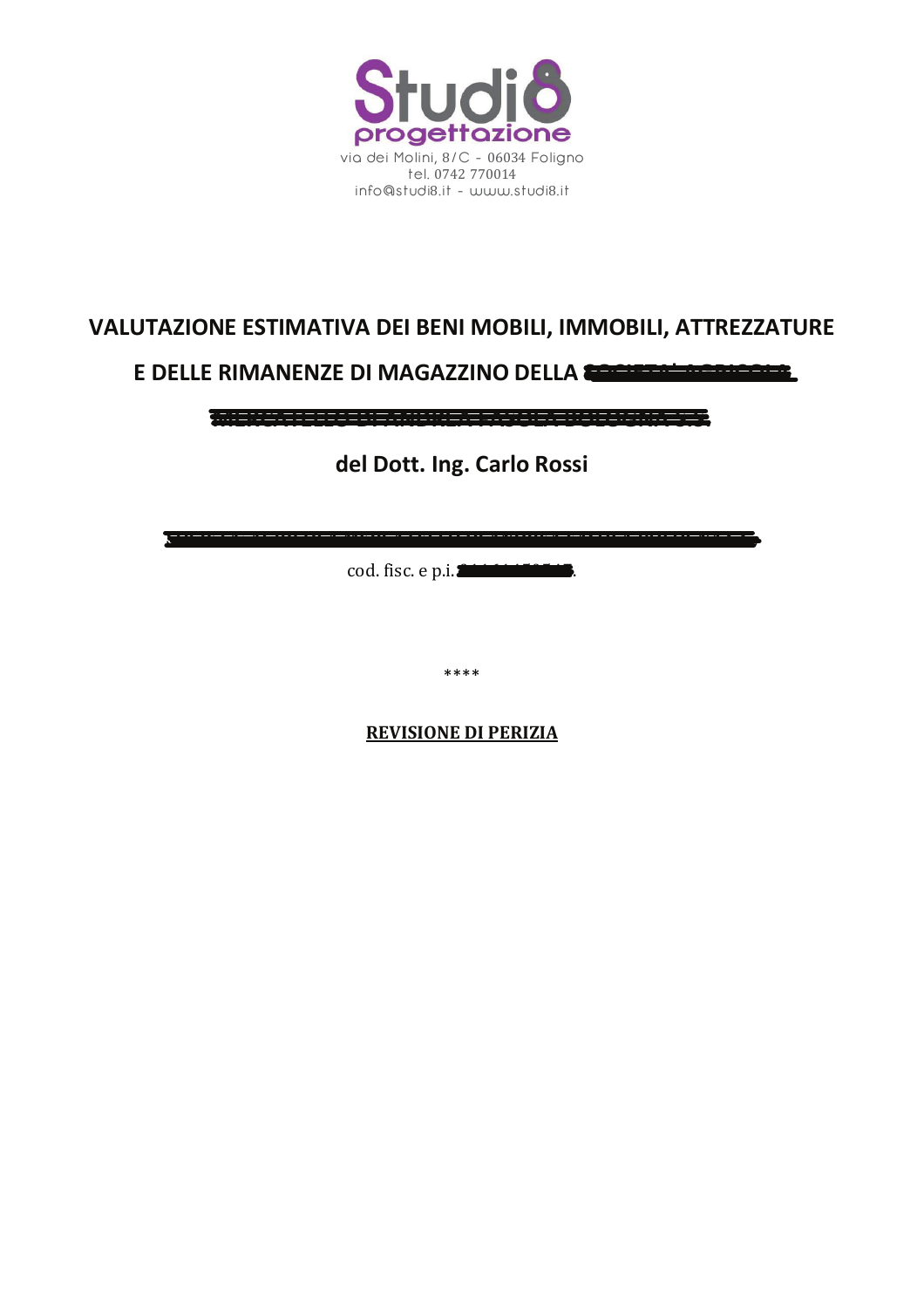

## VALUTAZIONE ESTIMATIVA DEI BENI MOBILI, IMMOBILI, ATTREZZATURE

## E DELLE RIMANENZE DI MAGAZZINO DELLA CONTENU ACCEPTANCE

**AN-MARKETA ARABIA (MARKETA ARABIA ARABIA ARAB** 

del Dott. Ing. Carlo Rossi

cod. fisc. e p.i.

\*\*\*\*

**REVISIONE DI PERIZIA**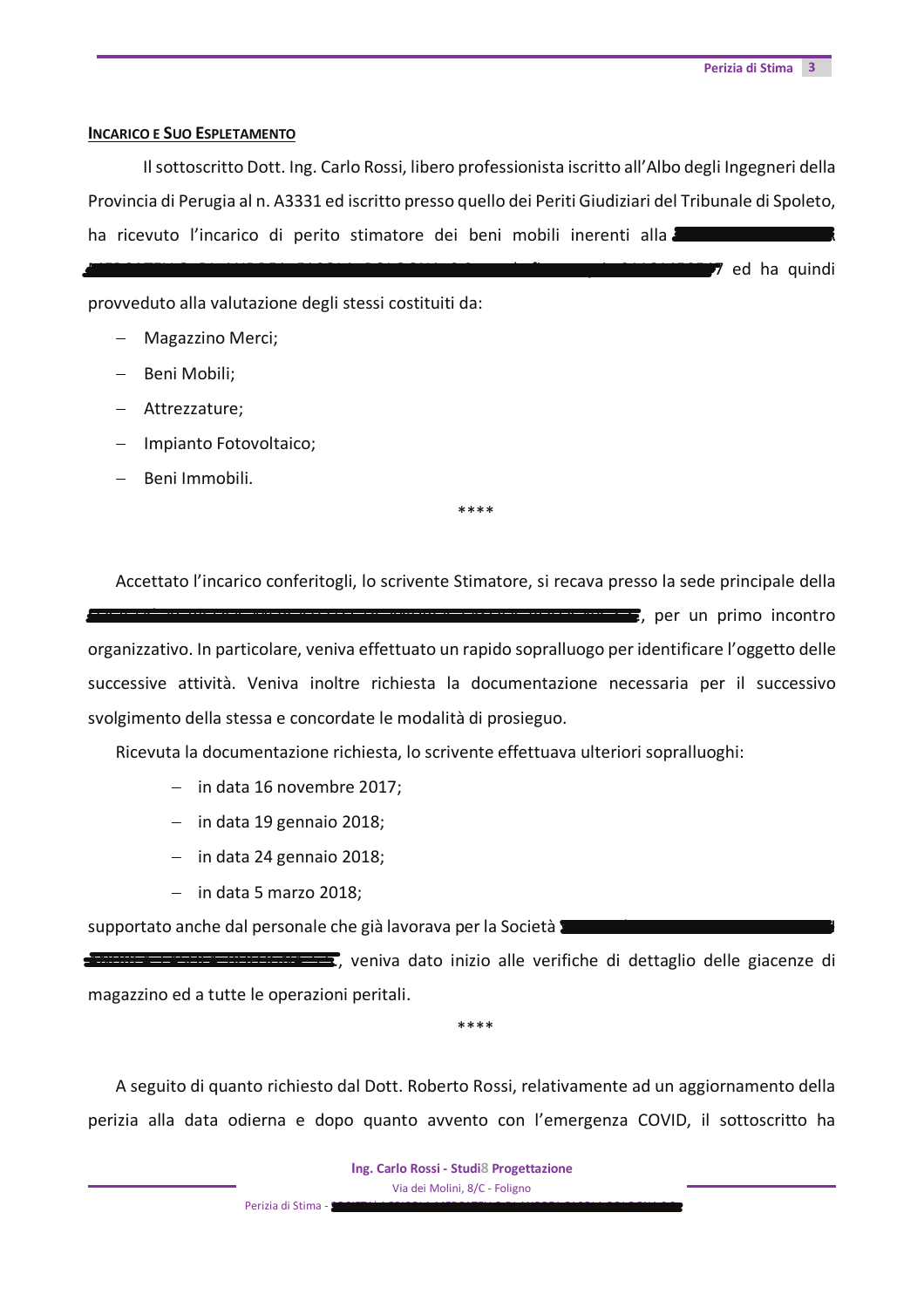7 ed ha quindi

## **INCARICO E SUO ESPLETAMENTO**

Il sottoscritto Dott. Ing. Carlo Rossi, libero professionista iscritto all'Albo degli Ingegneri della Provincia di Perugia al n. A3331 ed iscritto presso quello dei Periti Giudiziari del Tribunale di Spoleto, ha ricevuto l'incarico di perito stimatore dei beni mobili inerenti alla

provveduto alla valutazione degli stessi costituiti da:

- Magazzino Merci;
- Beni Mobili;
- $-$  Attrezzature;
- Impianto Fotovoltaico;
- Beni Immobili.

Accettato l'incarico conferitogli, lo scrivente Stimatore, si recava presso la sede principale della  $\blacksquare$ , per un primo incontro organizzativo. In particolare, veniva effettuato un rapido sopralluogo per identificare l'oggetto delle successive attività. Veniva inoltre richiesta la documentazione necessaria per il successivo svolgimento della stessa e concordate le modalità di prosieguo.

\*\*\*\*

Ricevuta la documentazione richiesta, lo scrivente effettuava ulteriori sopralluoghi:

- $-$  in data 16 novembre 2017;
- $-$  in data 19 gennaio 2018;
- $-$  in data 24 gennaio 2018;
- $-$  in data 5 marzo 2018;

supportato anche dal personale che già lavorava per la Società anticamente

**TANANI E ENGLES DE L'ESTERNO DE SU**, veniva dato inizio alle verifiche di dettaglio delle giacenze di magazzino ed a tutte le operazioni peritali.

A seguito di quanto richiesto dal Dott. Roberto Rossi, relativamente ad un aggiornamento della perizia alla data odierna e dopo quanto avvento con l'emergenza COVID, il sottoscritto ha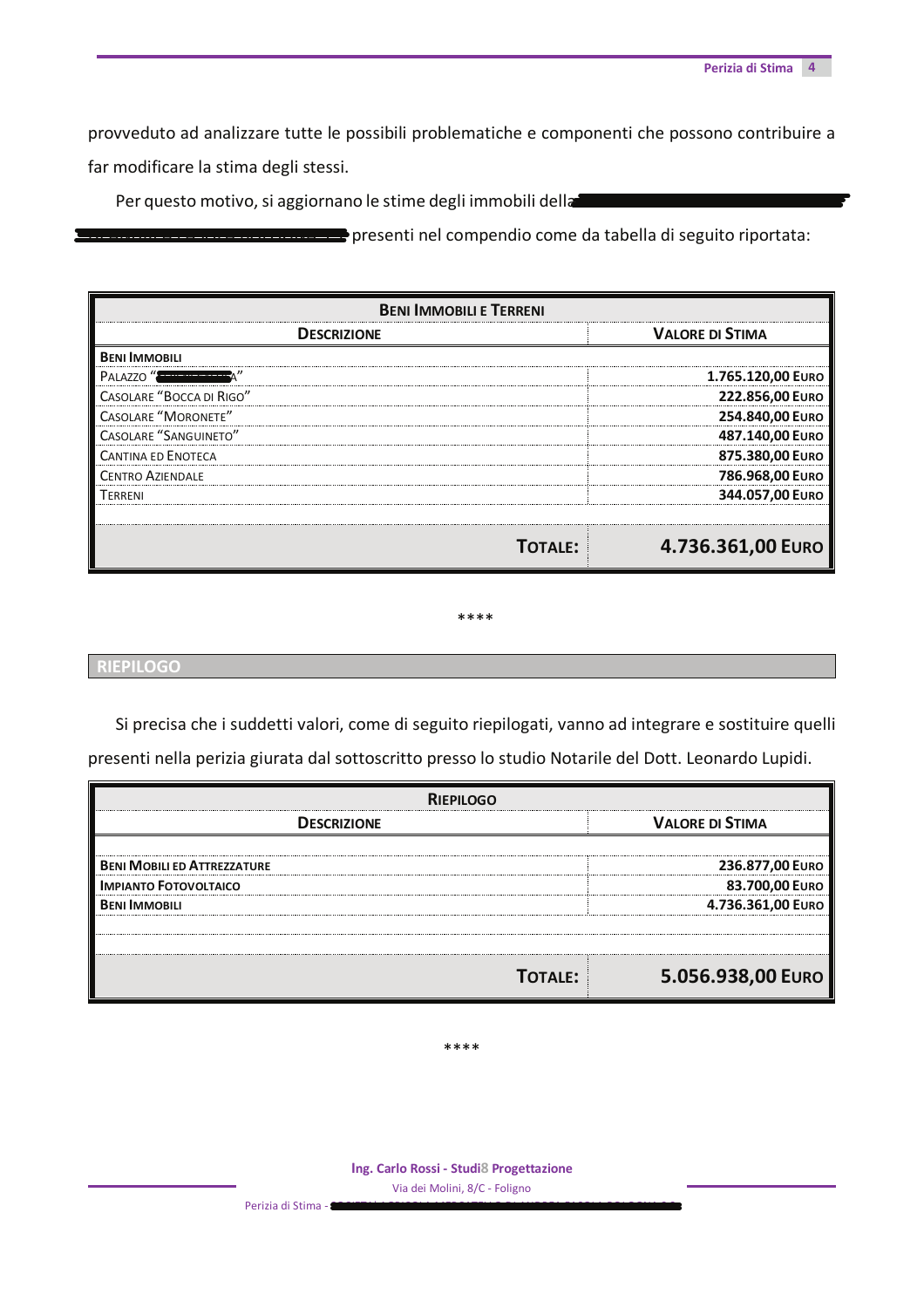provveduto ad analizzare tutte le possibili problematiche e componenti che possono contribuire a far modificare la stima degli stessi.

Per questo motivo, si aggiornano le stime degli immobili della

**ELECCION** presenti nel compendio come da tabella di seguito riportata:

| <b>BENI IMMOBILI E TERRENI</b> |                        |
|--------------------------------|------------------------|
| <b>DESCRIZIONE</b>             | <b>VALORE DI STIMA</b> |
| <b>BENI IMMOBILI</b>           |                        |
| PALAZZO "                      | 1.765.120,00 EURO      |
| CASOLARE "BOCCA DI RIGO"       | 222.856,00 EURO        |
| <b>CASOLARE "MORONETE"</b>     | 254.840,00 EURO        |
| <b>CASOLARE "SANGUINETO"</b>   | 487.140,00 EURO        |
| <b>CANTINA ED ENOTECA</b>      | 875.380,00 EURO        |
| <b>CENTRO AZIENDALE</b>        | 786.968,00 EURO        |
| <b>TERRENI</b>                 | 344.057,00 EURO        |
|                                |                        |
| <b>TOTALE:</b>                 | 4.736.361,00 EURO      |

## \*\*\*\*

Si precisa che i suddetti valori, come di seguito riepilogati, vanno ad integrare e sostituire quelli presenti nella perizia giurata dal sottoscritto presso lo studio Notarile del Dott. Leonardo Lupidi.

| <b>RIEPILOGO</b>                   |                        |
|------------------------------------|------------------------|
| <b>DESCRIZIONE</b>                 | <b>VALORE DI STIMA</b> |
| <b>BENI MOBILI ED ATTREZZATURE</b> | 236.877,00 EURO        |
| <b>IMPIANTO FOTOVOLTAICO</b>       | 83.700,00 EURO         |
| <b>BFNI IMMOBILI</b>               | 4.736.361,00 EURO      |
|                                    |                        |
|                                    |                        |
| <b>TOTALE:</b>                     | 5.056.938,00 EURO      |

\*\*\*\*

Ing. Carlo Rossi - Studi8 Progettazione Via dei Molini, 8/C - Foligno

**RIEPILOGO**